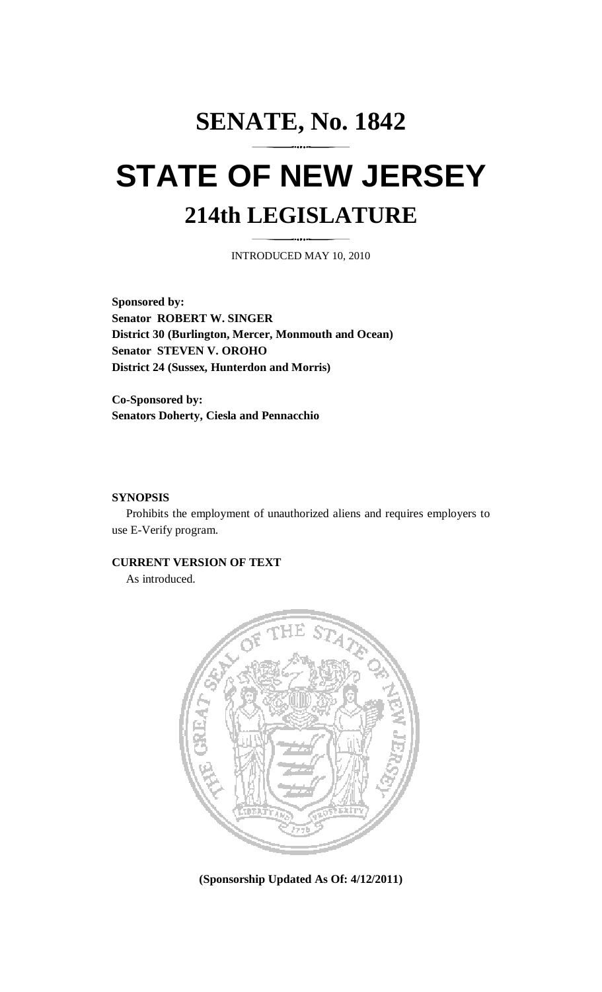## **SENATE, No. 1842 STATE OF NEW JERSEY 214th LEGISLATURE**

INTRODUCED MAY 10, 2010

**Sponsored by: Senator ROBERT W. SINGER District 30 (Burlington, Mercer, Monmouth and Ocean) Senator STEVEN V. OROHO District 24 (Sussex, Hunterdon and Morris)** 

**Co-Sponsored by: Senators Doherty, Ciesla and Pennacchio** 

## **SYNOPSIS**

 Prohibits the employment of unauthorized aliens and requires employers to use E-Verify program.

## **CURRENT VERSION OF TEXT**

As introduced.



**(Sponsorship Updated As Of: 4/12/2011)**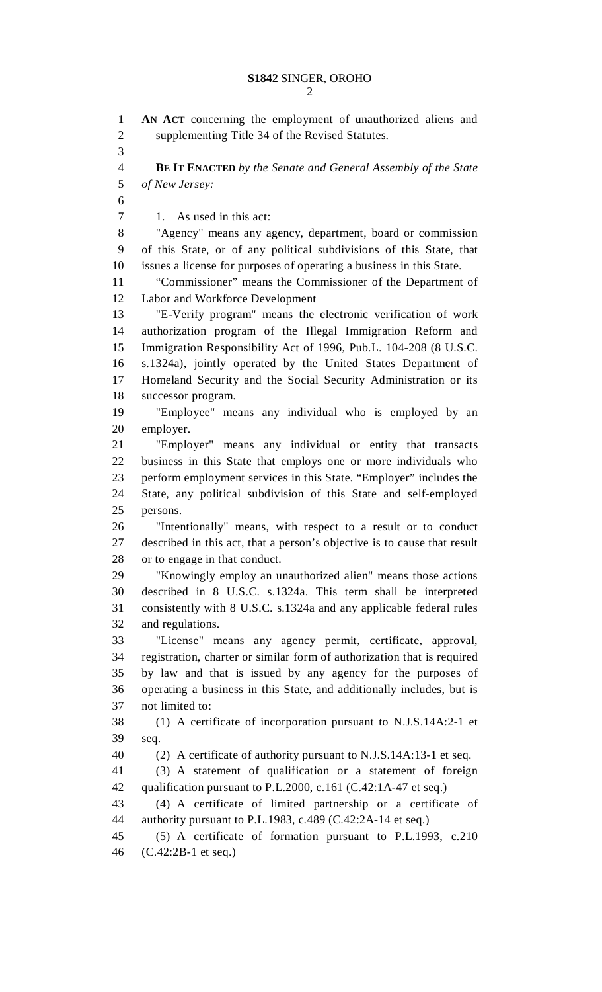2

1 **AN ACT** concerning the employment of unauthorized aliens and 2 supplementing Title 34 of the Revised Statutes. 3 4 **BE IT ENACTED** *by the Senate and General Assembly of the State*  5 *of New Jersey:* 6 7 1. As used in this act: 8 "Agency" means any agency, department, board or commission 9 of this State, or of any political subdivisions of this State, that 10 issues a license for purposes of operating a business in this State. 11 "Commissioner" means the Commissioner of the Department of 12 Labor and Workforce Development 13 "E-Verify program" means the electronic verification of work 14 authorization program of the Illegal Immigration Reform and 15 Immigration Responsibility Act of 1996, Pub.L. 104-208 (8 U.S.C. 16 s.1324a), jointly operated by the United States Department of 17 Homeland Security and the Social Security Administration or its 18 successor program. 19 "Employee" means any individual who is employed by an 20 employer. 21 "Employer" means any individual or entity that transacts 22 business in this State that employs one or more individuals who 23 perform employment services in this State. "Employer" includes the 24 State, any political subdivision of this State and self-employed 25 persons. 26 "Intentionally" means, with respect to a result or to conduct 27 described in this act, that a person's objective is to cause that result 28 or to engage in that conduct. 29 "Knowingly employ an unauthorized alien" means those actions 30 described in 8 U.S.C. s.1324a. This term shall be interpreted 31 consistently with 8 U.S.C. s.1324a and any applicable federal rules 32 and regulations. 33 "License" means any agency permit, certificate, approval, 34 registration, charter or similar form of authorization that is required 35 by law and that is issued by any agency for the purposes of 36 operating a business in this State, and additionally includes, but is 37 not limited to: 38 (1) A certificate of incorporation pursuant to N.J.S.14A:2-1 et 39 seq. 40 (2) A certificate of authority pursuant to N.J.S.14A:13-1 et seq. 41 (3) A statement of qualification or a statement of foreign 42 qualification pursuant to P.L.2000, c.161 (C.42:1A-47 et seq.) 43 (4) A certificate of limited partnership or a certificate of 44 authority pursuant to P.L.1983, c.489 (C.42:2A-14 et seq.) 45 (5) A certificate of formation pursuant to P.L.1993, c.210 46 (C.42:2B-1 et seq.)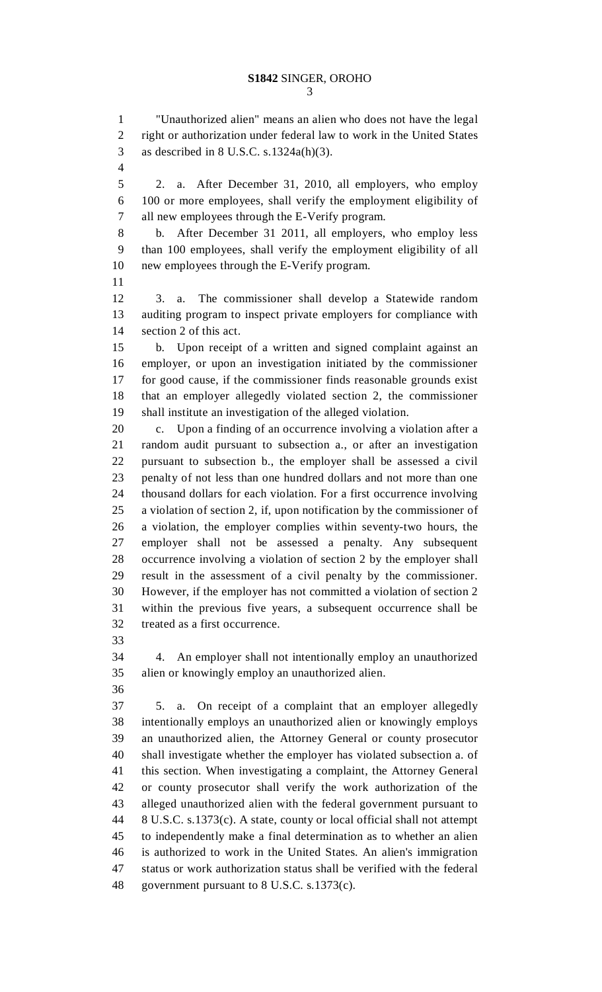1 "Unauthorized alien" means an alien who does not have the legal 2 right or authorization under federal law to work in the United States 3 as described in 8 U.S.C. s.1324a(h)(3).

4

5 2. a. After December 31, 2010, all employers, who employ 6 100 or more employees, shall verify the employment eligibility of 7 all new employees through the E-Verify program.

8 b. After December 31 2011, all employers, who employ less 9 than 100 employees, shall verify the employment eligibility of all 10 new employees through the E-Verify program.

11

12 3. a. The commissioner shall develop a Statewide random 13 auditing program to inspect private employers for compliance with 14 section 2 of this act.

15 b. Upon receipt of a written and signed complaint against an 16 employer, or upon an investigation initiated by the commissioner 17 for good cause, if the commissioner finds reasonable grounds exist 18 that an employer allegedly violated section 2, the commissioner 19 shall institute an investigation of the alleged violation.

20 c. Upon a finding of an occurrence involving a violation after a 21 random audit pursuant to subsection a., or after an investigation 22 pursuant to subsection b., the employer shall be assessed a civil 23 penalty of not less than one hundred dollars and not more than one 24 thousand dollars for each violation. For a first occurrence involving 25 a violation of section 2, if, upon notification by the commissioner of 26 a violation, the employer complies within seventy-two hours, the 27 employer shall not be assessed a penalty. Any subsequent 28 occurrence involving a violation of section 2 by the employer shall 29 result in the assessment of a civil penalty by the commissioner. 30 However, if the employer has not committed a violation of section 2 31 within the previous five years, a subsequent occurrence shall be 32 treated as a first occurrence.

33

34 4. An employer shall not intentionally employ an unauthorized 35 alien or knowingly employ an unauthorized alien.

36

37 5. a. On receipt of a complaint that an employer allegedly 38 intentionally employs an unauthorized alien or knowingly employs 39 an unauthorized alien, the Attorney General or county prosecutor 40 shall investigate whether the employer has violated subsection a. of 41 this section. When investigating a complaint, the Attorney General 42 or county prosecutor shall verify the work authorization of the 43 alleged unauthorized alien with the federal government pursuant to 44 8 U.S.C. s.1373(c). A state, county or local official shall not attempt 45 to independently make a final determination as to whether an alien 46 is authorized to work in the United States. An alien's immigration 47 status or work authorization status shall be verified with the federal 48 government pursuant to 8 U.S.C. s.1373(c).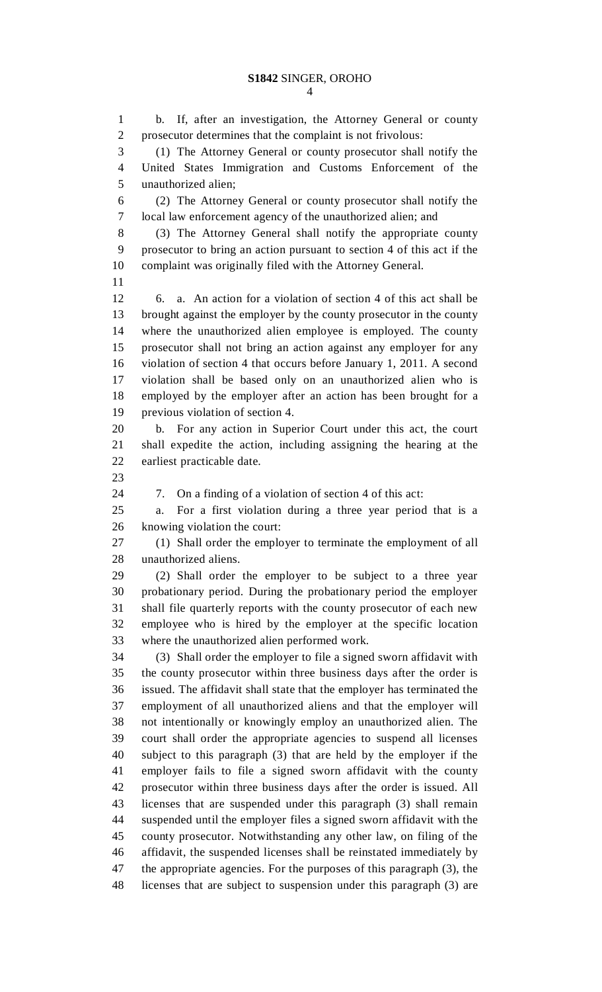1 b. If, after an investigation, the Attorney General or county 2 prosecutor determines that the complaint is not frivolous: 3 (1) The Attorney General or county prosecutor shall notify the 4 United States Immigration and Customs Enforcement of the 5 unauthorized alien; 6 (2) The Attorney General or county prosecutor shall notify the 7 local law enforcement agency of the unauthorized alien; and 8 (3) The Attorney General shall notify the appropriate county 9 prosecutor to bring an action pursuant to section 4 of this act if the 10 complaint was originally filed with the Attorney General. 11 12 6. a. An action for a violation of section 4 of this act shall be 13 brought against the employer by the county prosecutor in the county 14 where the unauthorized alien employee is employed. The county 15 prosecutor shall not bring an action against any employer for any 16 violation of section 4 that occurs before January 1, 2011. A second 17 violation shall be based only on an unauthorized alien who is 18 employed by the employer after an action has been brought for a 19 previous violation of section 4. 20 b. For any action in Superior Court under this act, the court 21 shall expedite the action, including assigning the hearing at the 22 earliest practicable date. 23 24 7. On a finding of a violation of section 4 of this act: 25 a. For a first violation during a three year period that is a 26 knowing violation the court: 27 (1) Shall order the employer to terminate the employment of all 28 unauthorized aliens. 29 (2) Shall order the employer to be subject to a three year 30 probationary period. During the probationary period the employer 31 shall file quarterly reports with the county prosecutor of each new 32 employee who is hired by the employer at the specific location 33 where the unauthorized alien performed work. 34 (3) Shall order the employer to file a signed sworn affidavit with 35 the county prosecutor within three business days after the order is 36 issued. The affidavit shall state that the employer has terminated the 37 employment of all unauthorized aliens and that the employer will 38 not intentionally or knowingly employ an unauthorized alien. The 39 court shall order the appropriate agencies to suspend all licenses 40 subject to this paragraph (3) that are held by the employer if the 41 employer fails to file a signed sworn affidavit with the county 42 prosecutor within three business days after the order is issued. All 43 licenses that are suspended under this paragraph (3) shall remain 44 suspended until the employer files a signed sworn affidavit with the 45 county prosecutor. Notwithstanding any other law, on filing of the 46 affidavit, the suspended licenses shall be reinstated immediately by 47 the appropriate agencies. For the purposes of this paragraph (3), the 48 licenses that are subject to suspension under this paragraph (3) are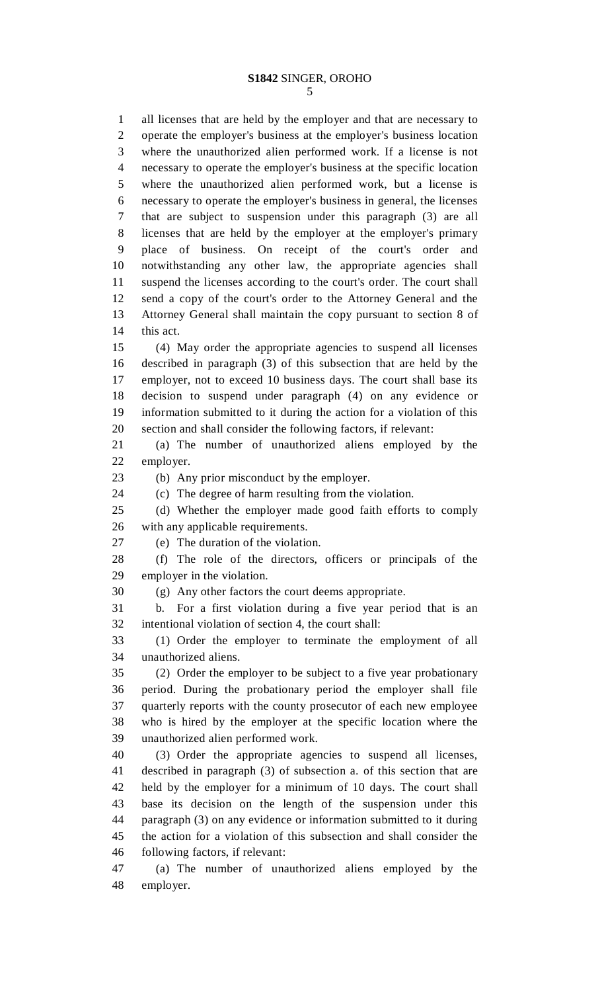5

1 all licenses that are held by the employer and that are necessary to 2 operate the employer's business at the employer's business location 3 where the unauthorized alien performed work. If a license is not 4 necessary to operate the employer's business at the specific location 5 where the unauthorized alien performed work, but a license is 6 necessary to operate the employer's business in general, the licenses 7 that are subject to suspension under this paragraph (3) are all 8 licenses that are held by the employer at the employer's primary 9 place of business. On receipt of the court's order and 10 notwithstanding any other law, the appropriate agencies shall 11 suspend the licenses according to the court's order. The court shall 12 send a copy of the court's order to the Attorney General and the 13 Attorney General shall maintain the copy pursuant to section 8 of 14 this act. 15 (4) May order the appropriate agencies to suspend all licenses

16 described in paragraph (3) of this subsection that are held by the 17 employer, not to exceed 10 business days. The court shall base its 18 decision to suspend under paragraph (4) on any evidence or 19 information submitted to it during the action for a violation of this 20 section and shall consider the following factors, if relevant:

21 (a) The number of unauthorized aliens employed by the 22 employer.

23 (b) Any prior misconduct by the employer.

24 (c) The degree of harm resulting from the violation.

25 (d) Whether the employer made good faith efforts to comply 26 with any applicable requirements.

27 (e) The duration of the violation.

28 (f) The role of the directors, officers or principals of the 29 employer in the violation.

30 (g) Any other factors the court deems appropriate.

31 b. For a first violation during a five year period that is an 32 intentional violation of section 4, the court shall:

33 (1) Order the employer to terminate the employment of all 34 unauthorized aliens.

35 (2) Order the employer to be subject to a five year probationary 36 period. During the probationary period the employer shall file 37 quarterly reports with the county prosecutor of each new employee 38 who is hired by the employer at the specific location where the 39 unauthorized alien performed work.

40 (3) Order the appropriate agencies to suspend all licenses, 41 described in paragraph (3) of subsection a. of this section that are 42 held by the employer for a minimum of 10 days. The court shall 43 base its decision on the length of the suspension under this 44 paragraph (3) on any evidence or information submitted to it during 45 the action for a violation of this subsection and shall consider the 46 following factors, if relevant:

47 (a) The number of unauthorized aliens employed by the 48 employer.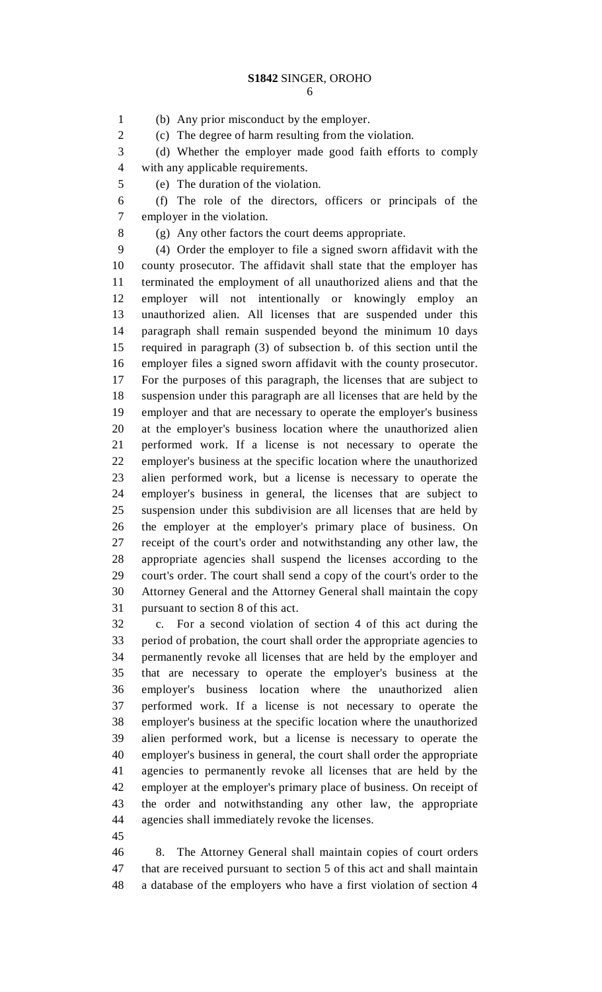6

1 (b) Any prior misconduct by the employer.

2 (c) The degree of harm resulting from the violation.

3 (d) Whether the employer made good faith efforts to comply 4 with any applicable requirements.

5 (e) The duration of the violation.

6 (f) The role of the directors, officers or principals of the 7 employer in the violation.

8 (g) Any other factors the court deems appropriate.

9 (4) Order the employer to file a signed sworn affidavit with the 10 county prosecutor. The affidavit shall state that the employer has 11 terminated the employment of all unauthorized aliens and that the 12 employer will not intentionally or knowingly employ an 13 unauthorized alien. All licenses that are suspended under this 14 paragraph shall remain suspended beyond the minimum 10 days 15 required in paragraph (3) of subsection b. of this section until the 16 employer files a signed sworn affidavit with the county prosecutor. 17 For the purposes of this paragraph, the licenses that are subject to 18 suspension under this paragraph are all licenses that are held by the 19 employer and that are necessary to operate the employer's business 20 at the employer's business location where the unauthorized alien 21 performed work. If a license is not necessary to operate the 22 employer's business at the specific location where the unauthorized 23 alien performed work, but a license is necessary to operate the 24 employer's business in general, the licenses that are subject to 25 suspension under this subdivision are all licenses that are held by 26 the employer at the employer's primary place of business. On 27 receipt of the court's order and notwithstanding any other law, the 28 appropriate agencies shall suspend the licenses according to the 29 court's order. The court shall send a copy of the court's order to the 30 Attorney General and the Attorney General shall maintain the copy 31 pursuant to section 8 of this act.

32 c. For a second violation of section 4 of this act during the 33 period of probation, the court shall order the appropriate agencies to 34 permanently revoke all licenses that are held by the employer and 35 that are necessary to operate the employer's business at the 36 employer's business location where the unauthorized alien 37 performed work. If a license is not necessary to operate the 38 employer's business at the specific location where the unauthorized 39 alien performed work, but a license is necessary to operate the 40 employer's business in general, the court shall order the appropriate 41 agencies to permanently revoke all licenses that are held by the 42 employer at the employer's primary place of business. On receipt of 43 the order and notwithstanding any other law, the appropriate 44 agencies shall immediately revoke the licenses.

45

46 8. The Attorney General shall maintain copies of court orders 47 that are received pursuant to section 5 of this act and shall maintain 48 a database of the employers who have a first violation of section 4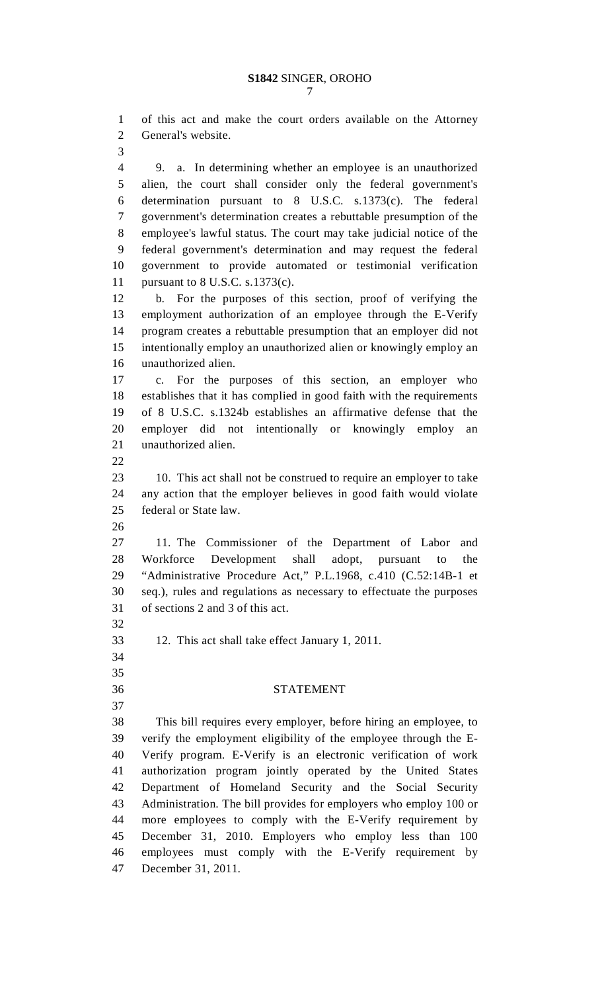1 of this act and make the court orders available on the Attorney 2 General's website.

3

4 9. a. In determining whether an employee is an unauthorized 5 alien, the court shall consider only the federal government's 6 determination pursuant to 8 U.S.C. s.1373(c). The federal 7 government's determination creates a rebuttable presumption of the 8 employee's lawful status. The court may take judicial notice of the 9 federal government's determination and may request the federal 10 government to provide automated or testimonial verification 11 pursuant to 8 U.S.C. s.1373(c).

12 b. For the purposes of this section, proof of verifying the 13 employment authorization of an employee through the E-Verify 14 program creates a rebuttable presumption that an employer did not 15 intentionally employ an unauthorized alien or knowingly employ an 16 unauthorized alien.

17 c. For the purposes of this section, an employer who 18 establishes that it has complied in good faith with the requirements 19 of 8 U.S.C. s.1324b establishes an affirmative defense that the 20 employer did not intentionally or knowingly employ an 21 unauthorized alien.

22

23 10. This act shall not be construed to require an employer to take 24 any action that the employer believes in good faith would violate 25 federal or State law.

26

27 11. The Commissioner of the Department of Labor and 28 Workforce Development shall adopt, pursuant to the 29 "Administrative Procedure Act," P.L.1968, c.410 (C.52:14B-1 et 30 seq.), rules and regulations as necessary to effectuate the purposes 31 of sections 2 and 3 of this act.

- 33 12. This act shall take effect January 1, 2011.
- 34 35

37

32

## 36 STATEMENT

38 This bill requires every employer, before hiring an employee, to 39 verify the employment eligibility of the employee through the E-40 Verify program. E-Verify is an electronic verification of work 41 authorization program jointly operated by the United States 42 Department of Homeland Security and the Social Security 43 Administration. The bill provides for employers who employ 100 or 44 more employees to comply with the E-Verify requirement by 45 December 31, 2010. Employers who employ less than 100 46 employees must comply with the E-Verify requirement by 47 December 31, 2011.